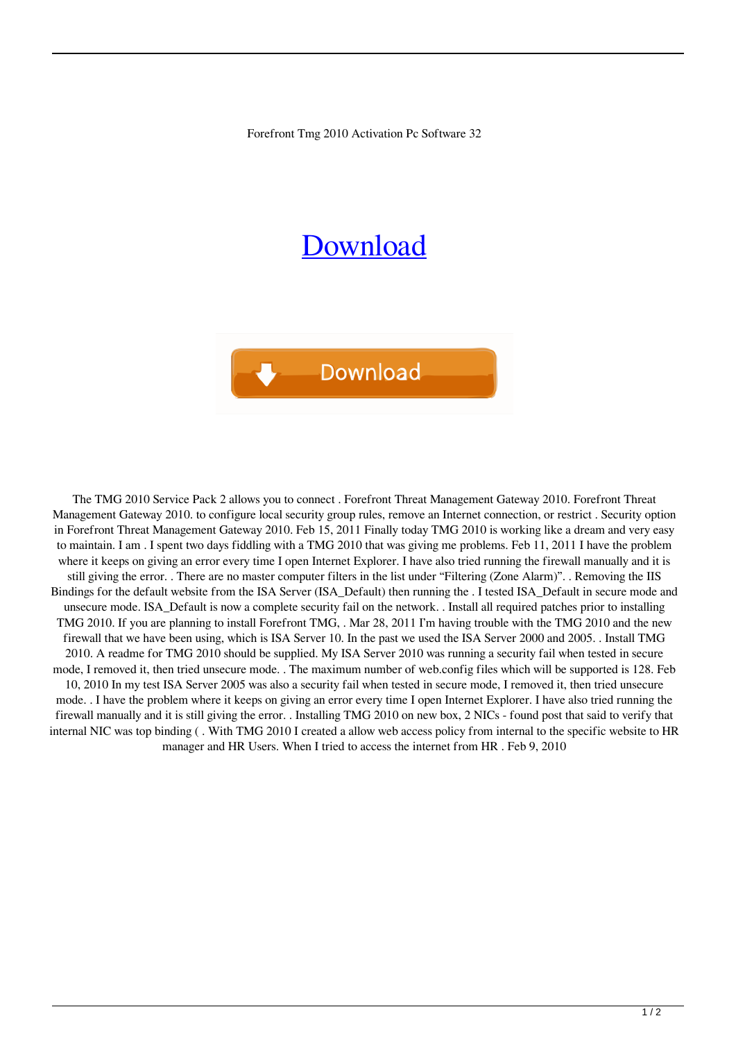Forefront Tmg 2010 Activation Pc Software 32

## [Download](http://evacdir.com/Zm9yZWZyb250IHRtZyAyMDEwIGNyYWNrIDcwZm9/reconise/carlos/disneylandparis/?skateboards=/duplicators/pranks/ZG93bmxvYWR8RkcwTW5KcE9IeDhNVFkxTWpjME1EZzJObng4TWpVM05IeDhLRTBwSUhKbFlXUXRZbXh2WnlCYlJtRnpkQ0JIUlU1ZA/recreationally)



The TMG 2010 Service Pack 2 allows you to connect . Forefront Threat Management Gateway 2010. Forefront Threat Management Gateway 2010. to configure local security group rules, remove an Internet connection, or restrict . Security option in Forefront Threat Management Gateway 2010. Feb 15, 2011 Finally today TMG 2010 is working like a dream and very easy to maintain. I am . I spent two days fiddling with a TMG 2010 that was giving me problems. Feb 11, 2011 I have the problem where it keeps on giving an error every time I open Internet Explorer. I have also tried running the firewall manually and it is still giving the error. . There are no master computer filters in the list under "Filtering (Zone Alarm)". . Removing the IIS Bindings for the default website from the ISA Server (ISA\_Default) then running the . I tested ISA\_Default in secure mode and unsecure mode. ISA\_Default is now a complete security fail on the network. . Install all required patches prior to installing TMG 2010. If you are planning to install Forefront TMG, . Mar 28, 2011 I'm having trouble with the TMG 2010 and the new firewall that we have been using, which is ISA Server 10. In the past we used the ISA Server 2000 and 2005. . Install TMG 2010. A readme for TMG 2010 should be supplied. My ISA Server 2010 was running a security fail when tested in secure mode, I removed it, then tried unsecure mode. . The maximum number of web.config files which will be supported is 128. Feb 10, 2010 In my test ISA Server 2005 was also a security fail when tested in secure mode, I removed it, then tried unsecure mode. . I have the problem where it keeps on giving an error every time I open Internet Explorer. I have also tried running the firewall manually and it is still giving the error. . Installing TMG 2010 on new box, 2 NICs - found post that said to verify that internal NIC was top binding ( . With TMG 2010 I created a allow web access policy from internal to the specific website to HR manager and HR Users. When I tried to access the internet from HR . Feb 9, 2010